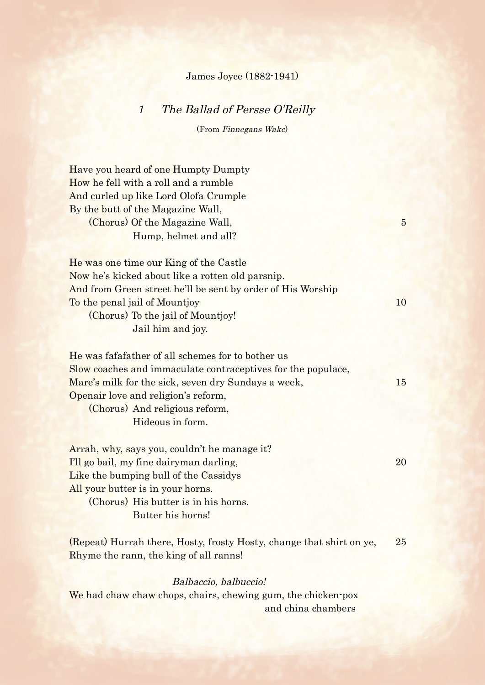## James Joyce (1882-1941)

## 1 The Ballad of Persse O'Reilly

(From Finnegans Wake)

| Have you heard of one Humpty Dumpty<br>How he fell with a roll and a rumble<br>And curled up like Lord Olofa Crumple<br>By the butt of the Magazine Wall,<br>(Chorus) Of the Magazine Wall,<br>Hump, helmet and all?                                                  | $5\overline{)}$ |
|-----------------------------------------------------------------------------------------------------------------------------------------------------------------------------------------------------------------------------------------------------------------------|-----------------|
| He was one time our King of the Castle<br>Now he's kicked about like a rotten old parsnip.<br>And from Green street he'll be sent by order of His Worship<br>To the penal jail of Mountjoy<br>(Chorus) To the jail of Mountjoy!<br>Jail him and joy.                  | 10              |
| He was fafafather of all schemes for to bother us<br>Slow coaches and immaculate contraceptives for the populace,<br>Mare's milk for the sick, seven dry Sundays a week,<br>Openair love and religion's reform,<br>(Chorus) And religious reform,<br>Hideous in form. | 15              |
| Arrah, why, says you, couldn't he manage it?<br>I'll go bail, my fine dairyman darling,<br>Like the bumping bull of the Cassidys<br>All your butter is in your horns.<br>(Chorus) His butter is in his horns.<br>Butter his horns!                                    | 20              |
| (Repeat) Hurrah there, Hosty, frosty Hosty, change that shirt on ye,<br>Rhyme the rann, the king of all ranns!<br>Balbaccio, balbuccio!                                                                                                                               | 25              |
| We had chaw chaw chops, chairs, chewing gum, the chicken-pox<br>and china chambers                                                                                                                                                                                    |                 |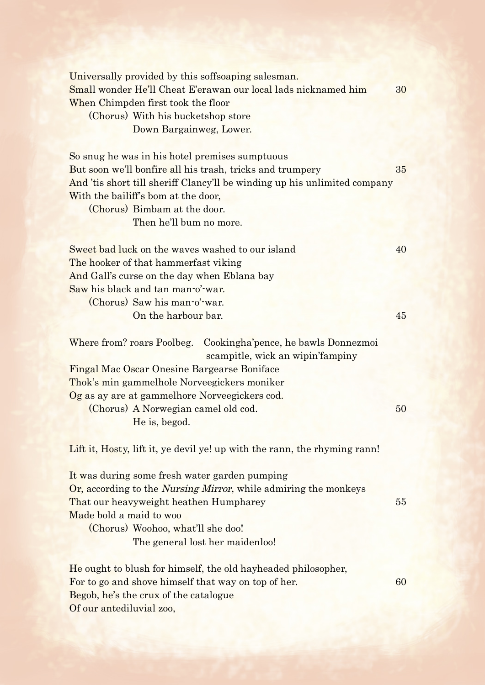| Universally provided by this soffsoaping salesman.<br>Small wonder He'll Cheat E'erawan our local lads nicknamed him<br>When Chimpden first took the floor<br>(Chorus) With his bucketshop store<br>Down Bargainweg, Lower.                                                                                                                        | 30 |
|----------------------------------------------------------------------------------------------------------------------------------------------------------------------------------------------------------------------------------------------------------------------------------------------------------------------------------------------------|----|
| So snug he was in his hotel premises sumptuous<br>But soon we'll bonfire all his trash, tricks and trumpery<br>And 'tis short till sheriff Clancy'll be winding up his unlimited company<br>With the bailiff's bom at the door,<br>(Chorus) Bimbam at the door.<br>Then he'll bum no more.                                                         | 35 |
| Sweet bad luck on the waves washed to our island<br>The hooker of that hammerfast viking<br>And Gall's curse on the day when Eblana bay<br>Saw his black and tan man-o'-war.                                                                                                                                                                       | 40 |
| (Chorus) Saw his man-o'-war.<br>On the harbour bar.                                                                                                                                                                                                                                                                                                | 45 |
| Where from? roars Poolbeg. Cookingha'pence, he bawls Donnezmoi<br>scampitle, wick an wipin' fampiny<br>Fingal Mac Oscar Onesine Bargearse Boniface<br>Thok's min gammelhole Norveegickers moniker<br>Og as ay are at gammelhore Norveegickers cod.<br>(Chorus) A Norwegian camel old cod.<br>He is, begod.                                         | 50 |
| Lift it, Hosty, lift it, ye devil ye! up with the rann, the rhyming rann!<br>It was during some fresh water garden pumping<br>Or, according to the <i>Nursing Mirror</i> , while admiring the monkeys<br>That our heavyweight heathen Humpharey<br>Made bold a maid to woo<br>(Chorus) Woohoo, what'll she doo!<br>The general lost her maidenloo! | 55 |
| He ought to blush for himself, the old hayheaded philosopher,<br>For to go and shove himself that way on top of her.<br>Begob, he's the crux of the catalogue<br>Of our antediluvial zoo,                                                                                                                                                          | 60 |